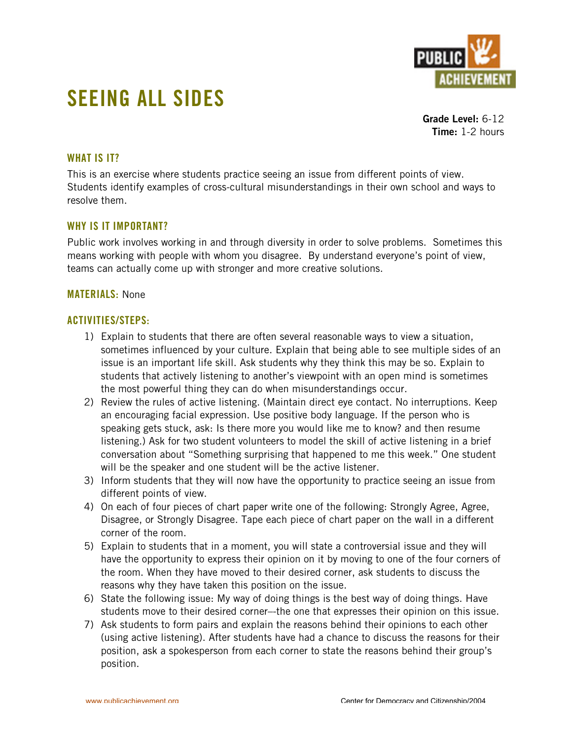

# **SEEING ALL SIDES**

**Grade Level:** 6-12 **Time:** 1-2 hours

# **WHAT IS IT?**

This is an exercise where students practice seeing an issue from different points of view. Students identify examples of cross-cultural misunderstandings in their own school and ways to resolve them.

## **WHY IS IT IMPORTANT?**

Public work involves working in and through diversity in order to solve problems. Sometimes this means working with people with whom you disagree. By understand everyone's point of view, teams can actually come up with stronger and more creative solutions.

#### **MATERIALS:** None

## **ACTIVITIES/STEPS:**

- 1) Explain to students that there are often several reasonable ways to view a situation, sometimes influenced by your culture. Explain that being able to see multiple sides of an issue is an important life skill. Ask students why they think this may be so. Explain to students that actively listening to another's viewpoint with an open mind is sometimes the most powerful thing they can do when misunderstandings occur.
- 2) Review the rules of active listening. (Maintain direct eye contact. No interruptions. Keep an encouraging facial expression. Use positive body language. If the person who is speaking gets stuck, ask: Is there more you would like me to know? and then resume listening.) Ask for two student volunteers to model the skill of active listening in a brief conversation about "Something surprising that happened to me this week." One student will be the speaker and one student will be the active listener.
- 3) Inform students that they will now have the opportunity to practice seeing an issue from different points of view.
- 4) On each of four pieces of chart paper write one of the following: Strongly Agree, Agree, Disagree, or Strongly Disagree. Tape each piece of chart paper on the wall in a different corner of the room.
- 5) Explain to students that in a moment, you will state a controversial issue and they will have the opportunity to express their opinion on it by moving to one of the four corners of the room. When they have moved to their desired corner, ask students to discuss the reasons why they have taken this position on the issue.
- 6) State the following issue: My way of doing things is the best way of doing things. Have students move to their desired corner–-the one that expresses their opinion on this issue.
- 7) Ask students to form pairs and explain the reasons behind their opinions to each other (using active listening). After students have had a chance to discuss the reasons for their position, ask a spokesperson from each corner to state the reasons behind their group's position.